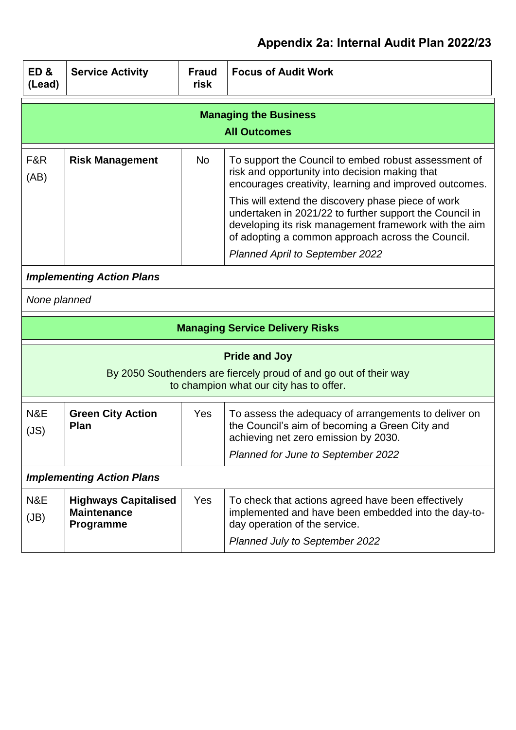| ED&<br>(Lead) | <b>Service Activity</b>                                        | <b>Fraud</b><br>risk | <b>Focus of Audit Work</b>                                                                                                                                                                                                                                                                                                                                                                                                                |  |
|---------------|----------------------------------------------------------------|----------------------|-------------------------------------------------------------------------------------------------------------------------------------------------------------------------------------------------------------------------------------------------------------------------------------------------------------------------------------------------------------------------------------------------------------------------------------------|--|
|               |                                                                |                      | <b>Managing the Business</b><br><b>All Outcomes</b>                                                                                                                                                                                                                                                                                                                                                                                       |  |
| F&R<br>(AB)   | <b>Risk Management</b>                                         | <b>No</b>            | To support the Council to embed robust assessment of<br>risk and opportunity into decision making that<br>encourages creativity, learning and improved outcomes.<br>This will extend the discovery phase piece of work<br>undertaken in 2021/22 to further support the Council in<br>developing its risk management framework with the aim<br>of adopting a common approach across the Council.<br><b>Planned April to September 2022</b> |  |
|               | <b>Implementing Action Plans</b>                               |                      |                                                                                                                                                                                                                                                                                                                                                                                                                                           |  |
| None planned  |                                                                |                      |                                                                                                                                                                                                                                                                                                                                                                                                                                           |  |
|               | <b>Managing Service Delivery Risks</b>                         |                      |                                                                                                                                                                                                                                                                                                                                                                                                                                           |  |
|               |                                                                |                      | <b>Pride and Joy</b><br>By 2050 Southenders are fiercely proud of and go out of their way<br>to champion what our city has to offer.                                                                                                                                                                                                                                                                                                      |  |
| N&E<br>(JS)   | <b>Green City Action</b><br><b>Plan</b>                        | <b>Yes</b>           | To assess the adequacy of arrangements to deliver on<br>the Council's aim of becoming a Green City and<br>achieving net zero emission by 2030.<br>Planned for June to September 2022                                                                                                                                                                                                                                                      |  |
|               | <b>Implementing Action Plans</b>                               |                      |                                                                                                                                                                                                                                                                                                                                                                                                                                           |  |
| N&E<br>(JB)   | <b>Highways Capitalised</b><br><b>Maintenance</b><br>Programme | Yes                  | To check that actions agreed have been effectively<br>implemented and have been embedded into the day-to-<br>day operation of the service.<br><b>Planned July to September 2022</b>                                                                                                                                                                                                                                                       |  |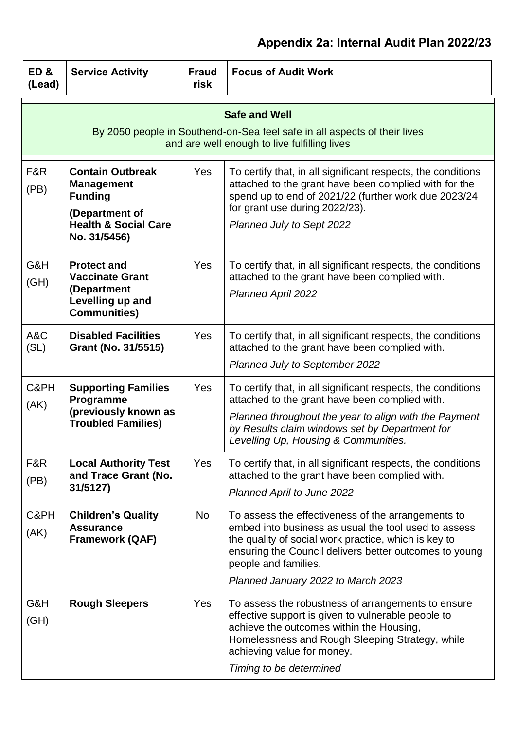| ED&<br>(Lead) | <b>Service Activity</b>                                                                                                             | <b>Fraud</b><br>risk | <b>Focus of Audit Work</b>                                                                                                                                                                                                                                                                 |
|---------------|-------------------------------------------------------------------------------------------------------------------------------------|----------------------|--------------------------------------------------------------------------------------------------------------------------------------------------------------------------------------------------------------------------------------------------------------------------------------------|
|               |                                                                                                                                     |                      | <b>Safe and Well</b><br>By 2050 people in Southend-on-Sea feel safe in all aspects of their lives<br>and are well enough to live fulfilling lives                                                                                                                                          |
| F&R<br>(PB)   | <b>Contain Outbreak</b><br><b>Management</b><br><b>Funding</b><br>(Department of<br><b>Health &amp; Social Care</b><br>No. 31/5456) | Yes                  | To certify that, in all significant respects, the conditions<br>attached to the grant have been complied with for the<br>spend up to end of 2021/22 (further work due 2023/24<br>for grant use during 2022/23).<br>Planned July to Sept 2022                                               |
| G&H<br>(GH)   | <b>Protect and</b><br><b>Vaccinate Grant</b><br>(Department<br>Levelling up and<br><b>Communities)</b>                              | Yes                  | To certify that, in all significant respects, the conditions<br>attached to the grant have been complied with.<br><b>Planned April 2022</b>                                                                                                                                                |
| A&C<br>(SL)   | <b>Disabled Facilities</b><br>Grant (No. 31/5515)                                                                                   | Yes                  | To certify that, in all significant respects, the conditions<br>attached to the grant have been complied with.<br>Planned July to September 2022                                                                                                                                           |
| C&PH<br>(AK)  | <b>Supporting Families</b><br>Programme<br>(previously known as<br><b>Troubled Families)</b>                                        | <b>Yes</b>           | To certify that, in all significant respects, the conditions<br>attached to the grant have been complied with.<br>Planned throughout the year to align with the Payment<br>by Results claim windows set by Department for<br>Levelling Up, Housing & Communities.                          |
| F&R<br>(PB)   | <b>Local Authority Test</b><br>and Trace Grant (No.<br>31/5127)                                                                     | Yes                  | To certify that, in all significant respects, the conditions<br>attached to the grant have been complied with.<br>Planned April to June 2022                                                                                                                                               |
| C&PH<br>(AK)  | <b>Children's Quality</b><br><b>Assurance</b><br><b>Framework (QAF)</b>                                                             | <b>No</b>            | To assess the effectiveness of the arrangements to<br>embed into business as usual the tool used to assess<br>the quality of social work practice, which is key to<br>ensuring the Council delivers better outcomes to young<br>people and families.<br>Planned January 2022 to March 2023 |
| G&H<br>(GH)   | <b>Rough Sleepers</b>                                                                                                               | Yes                  | To assess the robustness of arrangements to ensure<br>effective support is given to vulnerable people to<br>achieve the outcomes within the Housing,<br>Homelessness and Rough Sleeping Strategy, while<br>achieving value for money.<br>Timing to be determined                           |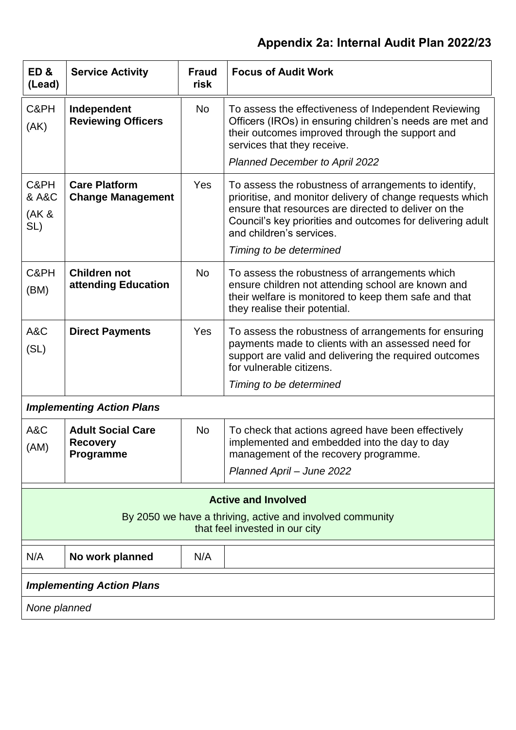| ED&<br>(Lead)                 | <b>Service Activity</b>                                                                                                   | <b>Fraud</b><br>risk | <b>Focus of Audit Work</b>                                                                                                                                                                                                                                                                      |  |
|-------------------------------|---------------------------------------------------------------------------------------------------------------------------|----------------------|-------------------------------------------------------------------------------------------------------------------------------------------------------------------------------------------------------------------------------------------------------------------------------------------------|--|
| C&PH<br>(AK)                  | Independent<br><b>Reviewing Officers</b>                                                                                  | No                   | To assess the effectiveness of Independent Reviewing<br>Officers (IROs) in ensuring children's needs are met and<br>their outcomes improved through the support and<br>services that they receive.<br><b>Planned December to April 2022</b>                                                     |  |
| C&PH<br>& A&C<br>(AK &<br>SL) | <b>Care Platform</b><br><b>Change Management</b>                                                                          | Yes                  | To assess the robustness of arrangements to identify,<br>prioritise, and monitor delivery of change requests which<br>ensure that resources are directed to deliver on the<br>Council's key priorities and outcomes for delivering adult<br>and children's services.<br>Timing to be determined |  |
| C&PH<br>(BM)                  | <b>Children not</b><br>attending Education                                                                                | No                   | To assess the robustness of arrangements which<br>ensure children not attending school are known and<br>their welfare is monitored to keep them safe and that<br>they realise their potential.                                                                                                  |  |
| A&C<br>(SL)                   | <b>Direct Payments</b>                                                                                                    | Yes                  | To assess the robustness of arrangements for ensuring<br>payments made to clients with an assessed need for<br>support are valid and delivering the required outcomes<br>for vulnerable citizens.<br>Timing to be determined                                                                    |  |
|                               | <b>Implementing Action Plans</b>                                                                                          |                      |                                                                                                                                                                                                                                                                                                 |  |
| A&C<br>(AM)                   | <b>Adult Social Care</b><br><b>Recovery</b><br>Programme                                                                  | <b>No</b>            | To check that actions agreed have been effectively<br>implemented and embedded into the day to day<br>management of the recovery programme.<br>Planned April - June 2022                                                                                                                        |  |
|                               | <b>Active and Involved</b><br>By 2050 we have a thriving, active and involved community<br>that feel invested in our city |                      |                                                                                                                                                                                                                                                                                                 |  |
| N/A                           | No work planned                                                                                                           | N/A                  |                                                                                                                                                                                                                                                                                                 |  |
|                               | <b>Implementing Action Plans</b>                                                                                          |                      |                                                                                                                                                                                                                                                                                                 |  |
| None planned                  |                                                                                                                           |                      |                                                                                                                                                                                                                                                                                                 |  |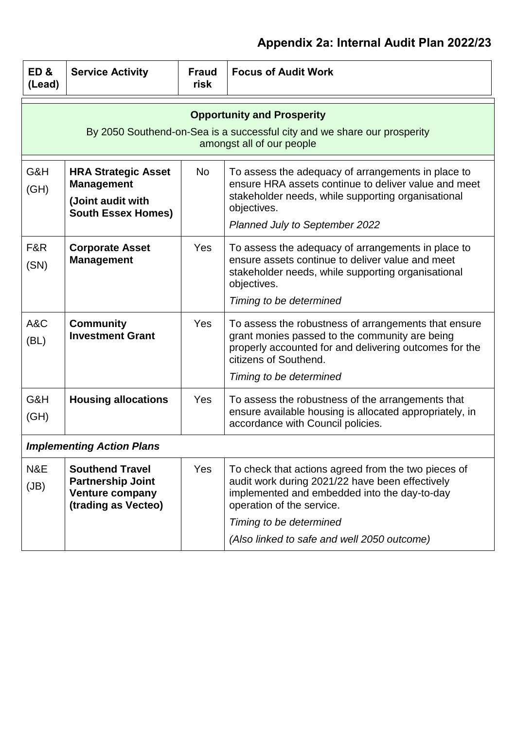| ED&<br>(Lead) | <b>Service Activity</b>                                                                                                                    | <b>Fraud</b><br>risk | <b>Focus of Audit Work</b>                                                                                                                                                                                                                                    |  |
|---------------|--------------------------------------------------------------------------------------------------------------------------------------------|----------------------|---------------------------------------------------------------------------------------------------------------------------------------------------------------------------------------------------------------------------------------------------------------|--|
|               | <b>Opportunity and Prosperity</b><br>By 2050 Southend-on-Sea is a successful city and we share our prosperity<br>amongst all of our people |                      |                                                                                                                                                                                                                                                               |  |
| G&H<br>(H)    | <b>HRA Strategic Asset</b><br><b>Management</b><br>(Joint audit with<br><b>South Essex Homes)</b>                                          | No                   | To assess the adequacy of arrangements in place to<br>ensure HRA assets continue to deliver value and meet<br>stakeholder needs, while supporting organisational<br>objectives.<br>Planned July to September 2022                                             |  |
| F&R<br>(SN)   | <b>Corporate Asset</b><br><b>Management</b>                                                                                                | <b>Yes</b>           | To assess the adequacy of arrangements in place to<br>ensure assets continue to deliver value and meet<br>stakeholder needs, while supporting organisational<br>objectives.<br>Timing to be determined                                                        |  |
| A&C<br>(BL)   | <b>Community</b><br><b>Investment Grant</b>                                                                                                | <b>Yes</b>           | To assess the robustness of arrangements that ensure<br>grant monies passed to the community are being<br>properly accounted for and delivering outcomes for the<br>citizens of Southend.<br>Timing to be determined                                          |  |
| G&H<br>(GH)   | <b>Housing allocations</b>                                                                                                                 | Yes                  | To assess the robustness of the arrangements that<br>ensure available housing is allocated appropriately, in<br>accordance with Council policies.                                                                                                             |  |
|               | <b>Implementing Action Plans</b>                                                                                                           |                      |                                                                                                                                                                                                                                                               |  |
| N&E<br>(JB)   | <b>Southend Travel</b><br><b>Partnership Joint</b><br><b>Venture company</b><br>(trading as Vecteo)                                        | <b>Yes</b>           | To check that actions agreed from the two pieces of<br>audit work during 2021/22 have been effectively<br>implemented and embedded into the day-to-day<br>operation of the service.<br>Timing to be determined<br>(Also linked to safe and well 2050 outcome) |  |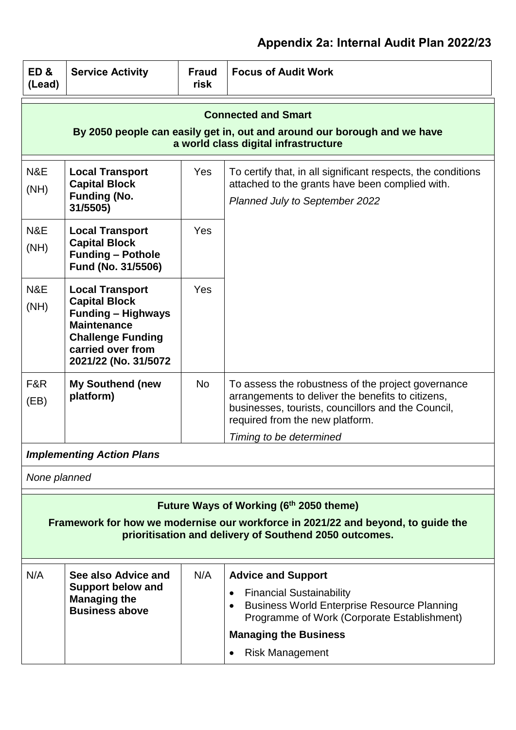| ED&<br>(Lead)                                                                                                                                                                         | <b>Service Activity</b>                                                                                                                                                    | <b>Fraud</b><br>risk | <b>Focus of Audit Work</b>                                                                                                                                                                                                               |
|---------------------------------------------------------------------------------------------------------------------------------------------------------------------------------------|----------------------------------------------------------------------------------------------------------------------------------------------------------------------------|----------------------|------------------------------------------------------------------------------------------------------------------------------------------------------------------------------------------------------------------------------------------|
|                                                                                                                                                                                       |                                                                                                                                                                            |                      | <b>Connected and Smart</b><br>By 2050 people can easily get in, out and around our borough and we have<br>a world class digital infrastructure                                                                                           |
| N&E<br>(NH)                                                                                                                                                                           | <b>Local Transport</b><br><b>Capital Block</b><br><b>Funding (No.</b><br>31/5505)                                                                                          | <b>Yes</b>           | To certify that, in all significant respects, the conditions<br>attached to the grants have been complied with.<br>Planned July to September 2022                                                                                        |
| N&E<br>(NH)                                                                                                                                                                           | <b>Local Transport</b><br><b>Capital Block</b><br><b>Funding - Pothole</b><br>Fund (No. 31/5506)                                                                           | <b>Yes</b>           |                                                                                                                                                                                                                                          |
| N&E<br>(NH)                                                                                                                                                                           | <b>Local Transport</b><br><b>Capital Block</b><br><b>Funding - Highways</b><br><b>Maintenance</b><br><b>Challenge Funding</b><br>carried over from<br>2021/22 (No. 31/5072 | Yes                  |                                                                                                                                                                                                                                          |
| F&R<br>(EB)                                                                                                                                                                           | <b>My Southend (new</b><br>platform)                                                                                                                                       | <b>No</b>            | To assess the robustness of the project governance<br>arrangements to deliver the benefits to citizens,<br>businesses, tourists, councillors and the Council,<br>required from the new platform.                                         |
|                                                                                                                                                                                       | <b>Implementing Action Plans</b>                                                                                                                                           |                      | Timing to be determined                                                                                                                                                                                                                  |
|                                                                                                                                                                                       |                                                                                                                                                                            |                      |                                                                                                                                                                                                                                          |
| None planned                                                                                                                                                                          |                                                                                                                                                                            |                      |                                                                                                                                                                                                                                          |
| Future Ways of Working (6th 2050 theme)<br>Framework for how we modernise our workforce in 2021/22 and beyond, to guide the<br>prioritisation and delivery of Southend 2050 outcomes. |                                                                                                                                                                            |                      |                                                                                                                                                                                                                                          |
| N/A                                                                                                                                                                                   | See also Advice and<br><b>Support below and</b><br><b>Managing the</b><br><b>Business above</b>                                                                            | N/A                  | <b>Advice and Support</b><br><b>Financial Sustainability</b><br>$\bullet$<br><b>Business World Enterprise Resource Planning</b><br>Programme of Work (Corporate Establishment)<br><b>Managing the Business</b><br><b>Risk Management</b> |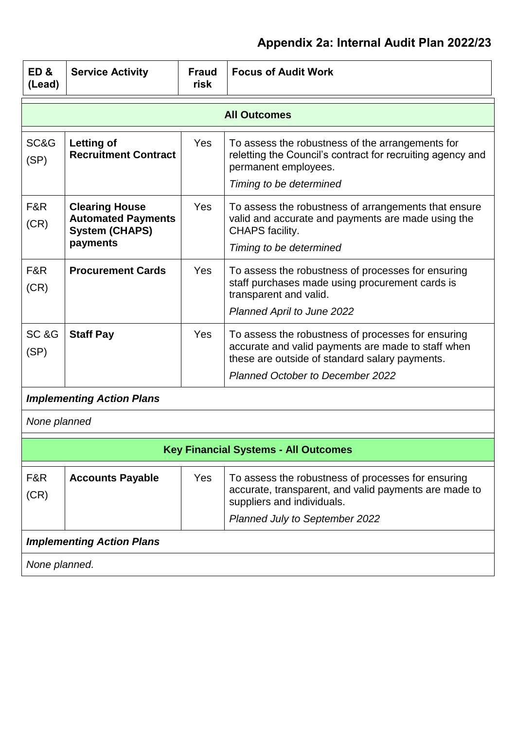| ED&<br>(Lead)                | <b>Service Activity</b>                                                                 | <b>Fraud</b><br>risk | <b>Focus of Audit Work</b>                                                                                                                                                                            |
|------------------------------|-----------------------------------------------------------------------------------------|----------------------|-------------------------------------------------------------------------------------------------------------------------------------------------------------------------------------------------------|
|                              |                                                                                         |                      | <b>All Outcomes</b>                                                                                                                                                                                   |
| SC&G<br>(SP)                 | <b>Letting of</b><br><b>Recruitment Contract</b>                                        | <b>Yes</b>           | To assess the robustness of the arrangements for<br>reletting the Council's contract for recruiting agency and<br>permanent employees.<br>Timing to be determined                                     |
| F&R<br>(CR)                  | <b>Clearing House</b><br><b>Automated Payments</b><br><b>System (CHAPS)</b><br>payments | <b>Yes</b>           | To assess the robustness of arrangements that ensure<br>valid and accurate and payments are made using the<br>CHAPS facility.<br>Timing to be determined                                              |
| F&R<br>(CR)                  | <b>Procurement Cards</b>                                                                | Yes                  | To assess the robustness of processes for ensuring<br>staff purchases made using procurement cards is<br>transparent and valid.<br>Planned April to June 2022                                         |
| SC <sub>&amp;G</sub><br>(SP) | <b>Staff Pay</b>                                                                        | <b>Yes</b>           | To assess the robustness of processes for ensuring<br>accurate and valid payments are made to staff when<br>these are outside of standard salary payments.<br><b>Planned October to December 2022</b> |
|                              | <b>Implementing Action Plans</b>                                                        |                      |                                                                                                                                                                                                       |
| None planned                 |                                                                                         |                      |                                                                                                                                                                                                       |
|                              |                                                                                         |                      | <b>Key Financial Systems - All Outcomes</b>                                                                                                                                                           |
| F&R<br>(CR)                  | <b>Accounts Payable</b>                                                                 | <b>Yes</b>           | To assess the robustness of processes for ensuring<br>accurate, transparent, and valid payments are made to<br>suppliers and individuals.<br>Planned July to September 2022                           |
|                              | <b>Implementing Action Plans</b>                                                        |                      |                                                                                                                                                                                                       |
| None planned.                |                                                                                         |                      |                                                                                                                                                                                                       |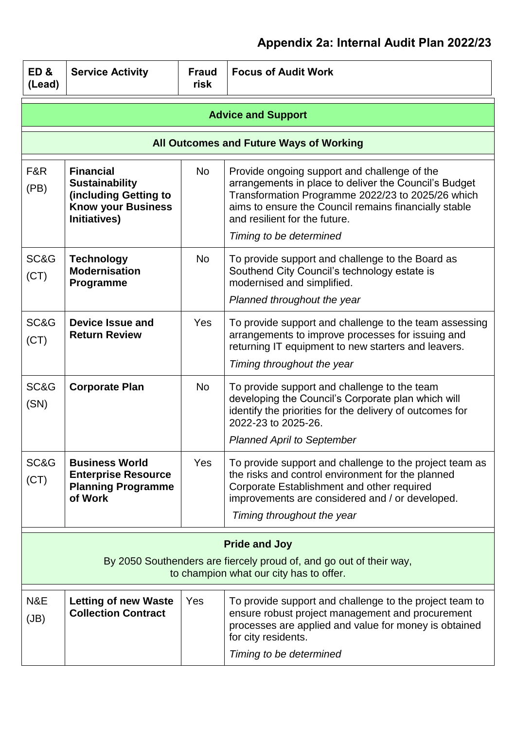| ED&<br>(Lead)                                                                                                                          | <b>Service Activity</b>                                                                                         | <b>Fraud</b><br>risk | <b>Focus of Audit Work</b>                                                                                                                                                                                                                                                      |
|----------------------------------------------------------------------------------------------------------------------------------------|-----------------------------------------------------------------------------------------------------------------|----------------------|---------------------------------------------------------------------------------------------------------------------------------------------------------------------------------------------------------------------------------------------------------------------------------|
|                                                                                                                                        |                                                                                                                 |                      | <b>Advice and Support</b>                                                                                                                                                                                                                                                       |
|                                                                                                                                        |                                                                                                                 |                      | All Outcomes and Future Ways of Working                                                                                                                                                                                                                                         |
| F&R<br>(PB)                                                                                                                            | <b>Financial</b><br><b>Sustainability</b><br>(including Getting to<br><b>Know your Business</b><br>Initiatives) | <b>No</b>            | Provide ongoing support and challenge of the<br>arrangements in place to deliver the Council's Budget<br>Transformation Programme 2022/23 to 2025/26 which<br>aims to ensure the Council remains financially stable<br>and resilient for the future.<br>Timing to be determined |
| SC&G<br>(CT)                                                                                                                           | <b>Technology</b><br><b>Modernisation</b><br>Programme                                                          | <b>No</b>            | To provide support and challenge to the Board as<br>Southend City Council's technology estate is<br>modernised and simplified.<br>Planned throughout the year                                                                                                                   |
| SC&G<br>(CT)                                                                                                                           | <b>Device Issue and</b><br><b>Return Review</b>                                                                 | <b>Yes</b>           | To provide support and challenge to the team assessing<br>arrangements to improve processes for issuing and<br>returning IT equipment to new starters and leavers.<br>Timing throughout the year                                                                                |
| SC&G<br>(SN)                                                                                                                           | <b>Corporate Plan</b>                                                                                           | <b>No</b>            | To provide support and challenge to the team<br>developing the Council's Corporate plan which will<br>identify the priorities for the delivery of outcomes for<br>2022-23 to 2025-26.<br><b>Planned April to September</b>                                                      |
| SC&G<br>(CT)                                                                                                                           | <b>Business World</b><br><b>Enterprise Resource</b><br><b>Planning Programme</b><br>of Work                     | Yes                  | To provide support and challenge to the project team as<br>the risks and control environment for the planned<br>Corporate Establishment and other required<br>improvements are considered and / or developed.<br>Timing throughout the year                                     |
| <b>Pride and Joy</b><br>By 2050 Southenders are fiercely proud of, and go out of their way,<br>to champion what our city has to offer. |                                                                                                                 |                      |                                                                                                                                                                                                                                                                                 |
| N&E<br>(JB)                                                                                                                            | <b>Letting of new Waste</b><br><b>Collection Contract</b>                                                       | Yes                  | To provide support and challenge to the project team to<br>ensure robust project management and procurement<br>processes are applied and value for money is obtained<br>for city residents.<br>Timing to be determined                                                          |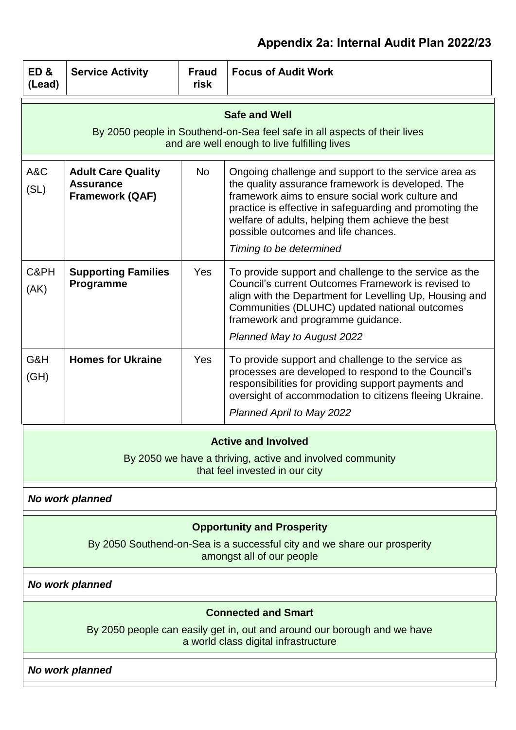| ED&<br>(Lead) | <b>Service Activity</b>                                                                                                                        | <b>Fraud</b><br>risk | <b>Focus of Audit Work</b>                                                                                                                                                                                                                                                                                                                     |  |
|---------------|------------------------------------------------------------------------------------------------------------------------------------------------|----------------------|------------------------------------------------------------------------------------------------------------------------------------------------------------------------------------------------------------------------------------------------------------------------------------------------------------------------------------------------|--|
|               |                                                                                                                                                |                      | <b>Safe and Well</b><br>By 2050 people in Southend-on-Sea feel safe in all aspects of their lives<br>and are well enough to live fulfilling lives                                                                                                                                                                                              |  |
| A&C<br>(SL)   | <b>Adult Care Quality</b><br><b>Assurance</b><br><b>Framework (QAF)</b>                                                                        | No.                  | Ongoing challenge and support to the service area as<br>the quality assurance framework is developed. The<br>framework aims to ensure social work culture and<br>practice is effective in safeguarding and promoting the<br>welfare of adults, helping them achieve the best<br>possible outcomes and life chances.<br>Timing to be determined |  |
| C&PH<br>(AK)  | <b>Supporting Families</b><br>Programme                                                                                                        | <b>Yes</b>           | To provide support and challenge to the service as the<br>Council's current Outcomes Framework is revised to<br>align with the Department for Levelling Up, Housing and<br>Communities (DLUHC) updated national outcomes<br>framework and programme guidance.<br>Planned May to August 2022                                                    |  |
| G&H<br>(GH)   | <b>Homes for Ukraine</b>                                                                                                                       | <b>Yes</b>           | To provide support and challenge to the service as<br>processes are developed to respond to the Council's<br>responsibilities for providing support payments and<br>oversight of accommodation to citizens fleeing Ukraine.<br><b>Planned April to May 2022</b>                                                                                |  |
|               | <b>Active and Involved</b><br>By 2050 we have a thriving, active and involved community<br>that feel invested in our city                      |                      |                                                                                                                                                                                                                                                                                                                                                |  |
|               | <b>No work planned</b>                                                                                                                         |                      |                                                                                                                                                                                                                                                                                                                                                |  |
|               | <b>Opportunity and Prosperity</b><br>By 2050 Southend-on-Sea is a successful city and we share our prosperity<br>amongst all of our people     |                      |                                                                                                                                                                                                                                                                                                                                                |  |
|               | <b>No work planned</b>                                                                                                                         |                      |                                                                                                                                                                                                                                                                                                                                                |  |
|               | <b>Connected and Smart</b><br>By 2050 people can easily get in, out and around our borough and we have<br>a world class digital infrastructure |                      |                                                                                                                                                                                                                                                                                                                                                |  |
|               | <b>No work planned</b>                                                                                                                         |                      |                                                                                                                                                                                                                                                                                                                                                |  |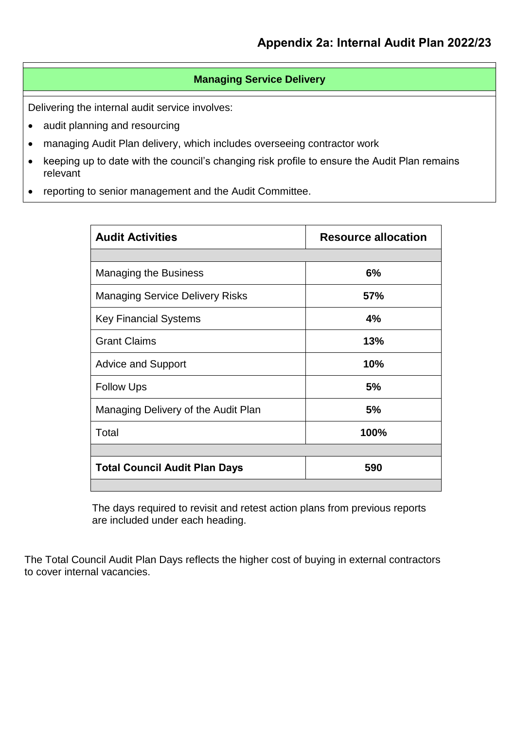## **Managing Service Delivery**

Delivering the internal audit service involves:

- audit planning and resourcing
- managing Audit Plan delivery, which includes overseeing contractor work
- keeping up to date with the council's changing risk profile to ensure the Audit Plan remains relevant
- reporting to senior management and the Audit Committee.

| <b>Audit Activities</b>                | <b>Resource allocation</b> |
|----------------------------------------|----------------------------|
|                                        |                            |
| <b>Managing the Business</b>           | 6%                         |
| <b>Managing Service Delivery Risks</b> | <b>57%</b>                 |
| <b>Key Financial Systems</b>           | 4%                         |
| <b>Grant Claims</b>                    | 13%                        |
| <b>Advice and Support</b>              | 10%                        |
| <b>Follow Ups</b>                      | 5%                         |
| Managing Delivery of the Audit Plan    | 5%                         |
| Total                                  | 100%                       |
|                                        |                            |
| <b>Total Council Audit Plan Days</b>   | 590                        |
|                                        |                            |

The days required to revisit and retest action plans from previous reports are included under each heading.

The Total Council Audit Plan Days reflects the higher cost of buying in external contractors to cover internal vacancies.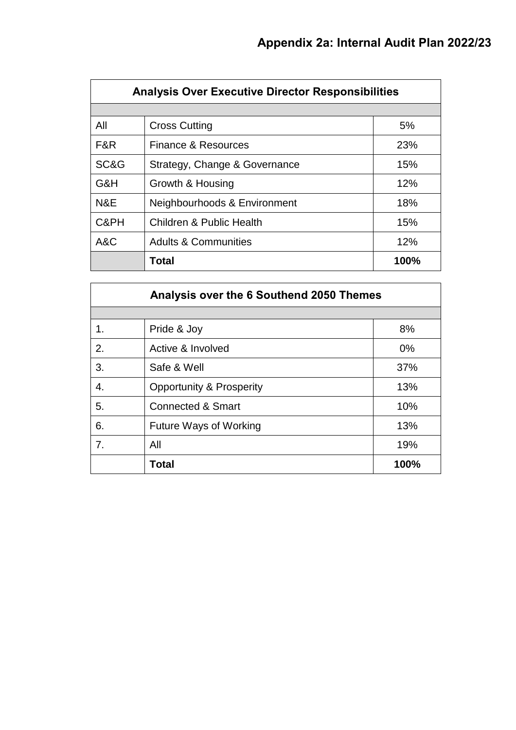|      | <b>Analysis Over Executive Director Responsibilities</b> |      |  |  |  |  |
|------|----------------------------------------------------------|------|--|--|--|--|
|      |                                                          |      |  |  |  |  |
| All  | <b>Cross Cutting</b>                                     | 5%   |  |  |  |  |
| F&R  | Finance & Resources                                      | 23%  |  |  |  |  |
| SC&G | Strategy, Change & Governance                            | 15%  |  |  |  |  |
| G&H  | Growth & Housing                                         | 12%  |  |  |  |  |
| N&E  | Neighbourhoods & Environment                             | 18%  |  |  |  |  |
| C&PH | <b>Children &amp; Public Health</b>                      | 15%  |  |  |  |  |
| A&C  | <b>Adults &amp; Communities</b>                          | 12%  |  |  |  |  |
|      | Total                                                    | 100% |  |  |  |  |

|    | Analysis over the 6 Southend 2050 Themes |       |
|----|------------------------------------------|-------|
|    |                                          |       |
| 1. | Pride & Joy                              | 8%    |
| 2. | Active & Involved                        | $0\%$ |
| 3. | Safe & Well                              | 37%   |
| 4. | <b>Opportunity &amp; Prosperity</b>      | 13%   |
| 5. | <b>Connected &amp; Smart</b>             | 10%   |
| 6. | <b>Future Ways of Working</b>            | 13%   |
| 7. | All                                      | 19%   |
|    | Total                                    | 100%  |